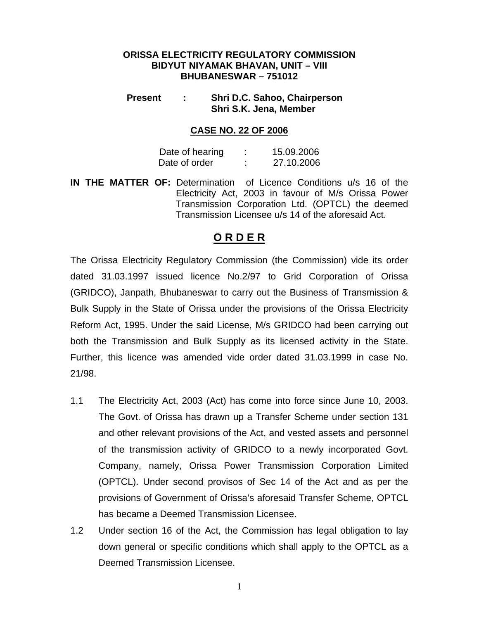#### **ORISSA ELECTRICITY REGULATORY COMMISSION BIDYUT NIYAMAK BHAVAN, UNIT – VIII BHUBANESWAR – 751012**

#### **Present : Shri D.C. Sahoo, Chairperson Shri S.K. Jena, Member**

#### **CASE NO. 22 OF 2006**

| Date of hearing | 15.09.2006 |
|-----------------|------------|
| Date of order   | 27.10.2006 |

**IN THE MATTER OF:** Determination of Licence Conditions u/s 16 of the Electricity Act, 2003 in favour of M/s Orissa Power Transmission Corporation Ltd. (OPTCL) the deemed Transmission Licensee u/s 14 of the aforesaid Act.

### **O R D E R**

The Orissa Electricity Regulatory Commission (the Commission) vide its order dated 31.03.1997 issued licence No.2/97 to Grid Corporation of Orissa (GRIDCO), Janpath, Bhubaneswar to carry out the Business of Transmission & Bulk Supply in the State of Orissa under the provisions of the Orissa Electricity Reform Act, 1995. Under the said License, M/s GRIDCO had been carrying out both the Transmission and Bulk Supply as its licensed activity in the State. Further, this licence was amended vide order dated 31.03.1999 in case No. 21/98.

- 1.1 The Electricity Act, 2003 (Act) has come into force since June 10, 2003. The Govt. of Orissa has drawn up a Transfer Scheme under section 131 and other relevant provisions of the Act, and vested assets and personnel of the transmission activity of GRIDCO to a newly incorporated Govt. Company, namely, Orissa Power Transmission Corporation Limited (OPTCL). Under second provisos of Sec 14 of the Act and as per the provisions of Government of Orissa's aforesaid Transfer Scheme, OPTCL has became a Deemed Transmission Licensee.
- 1.2 Under section 16 of the Act, the Commission has legal obligation to lay down general or specific conditions which shall apply to the OPTCL as a Deemed Transmission Licensee.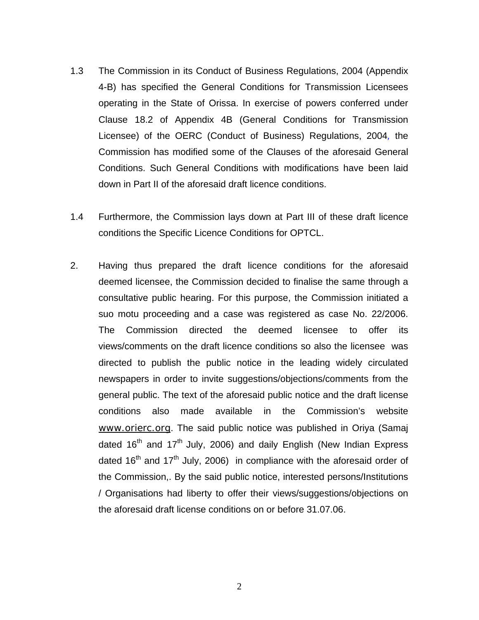- 1.3 The Commission in its Conduct of Business Regulations, 2004 (Appendix 4-B) has specified the General Conditions for Transmission Licensees operating in the State of Orissa. In exercise of powers conferred under Clause 18.2 of Appendix 4B (General Conditions for Transmission Licensee) of the OERC (Conduct of Business) Regulations, 2004*,* the Commission has modified some of the Clauses of the aforesaid General Conditions. Such General Conditions with modifications have been laid down in Part II of the aforesaid draft licence conditions.
- 1.4 Furthermore, the Commission lays down at Part III of these draft licence conditions the Specific Licence Conditions for OPTCL.
- 2. Having thus prepared the draft licence conditions for the aforesaid deemed licensee, the Commission decided to finalise the same through a consultative public hearing. For this purpose, the Commission initiated a suo motu proceeding and a case was registered as case No. 22/2006. The Commission directed the deemed licensee to offer its views/comments on the draft licence conditions so also the licensee was directed to publish the public notice in the leading widely circulated newspapers in order to invite suggestions/objections/comments from the general public. The text of the aforesaid public notice and the draft license conditions also made available in the Commission's website [www.orierc.org](http://www.orierc.org/). The said public notice was published in Oriya (Samaj dated  $16<sup>th</sup>$  and  $17<sup>th</sup>$  July, 2006) and daily English (New Indian Express dated  $16<sup>th</sup>$  and  $17<sup>th</sup>$  July, 2006) in compliance with the aforesaid order of the Commission,. By the said public notice, interested persons/Institutions / Organisations had liberty to offer their views/suggestions/objections on the aforesaid draft license conditions on or before 31.07.06.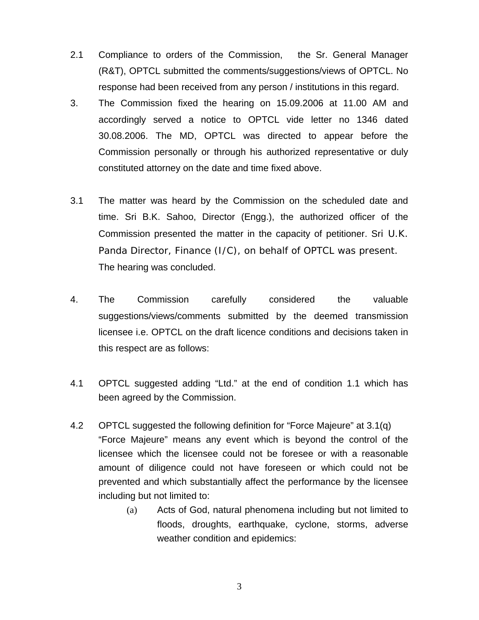- 2.1 Compliance to orders of the Commission, the Sr. General Manager (R&T), OPTCL submitted the comments/suggestions/views of OPTCL. No response had been received from any person / institutions in this regard.
- 3. The Commission fixed the hearing on 15.09.2006 at 11.00 AM and accordingly served a notice to OPTCL vide letter no 1346 dated 30.08.2006. The MD, OPTCL was directed to appear before the Commission personally or through his authorized representative or duly constituted attorney on the date and time fixed above.
- 3.1 The matter was heard by the Commission on the scheduled date and time. Sri B.K. Sahoo, Director (Engg.), the authorized officer of the Commission presented the matter in the capacity of petitioner. Sri U.K. Panda Director, Finance (I/C), on behalf of OPTCL was present. The hearing was concluded.
- 4. The Commission carefully considered the valuable suggestions/views/comments submitted by the deemed transmission licensee i.e. OPTCL on the draft licence conditions and decisions taken in this respect are as follows:
- 4.1 OPTCL suggested adding "Ltd." at the end of condition 1.1 which has been agreed by the Commission.
- 4.2 OPTCL suggested the following definition for "Force Majeure" at 3.1(q) "Force Majeure" means any event which is beyond the control of the licensee which the licensee could not be foresee or with a reasonable amount of diligence could not have foreseen or which could not be prevented and which substantially affect the performance by the licensee including but not limited to:
	- (a) Acts of God, natural phenomena including but not limited to floods, droughts, earthquake, cyclone, storms, adverse weather condition and epidemics: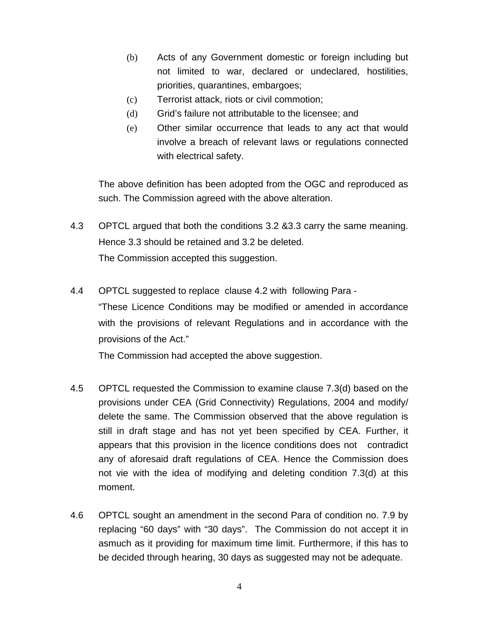- (b) Acts of any Government domestic or foreign including but not limited to war, declared or undeclared, hostilities, priorities, quarantines, embargoes;
- (c) Terrorist attack, riots or civil commotion;
- (d) Grid's failure not attributable to the licensee; and
- (e) Other similar occurrence that leads to any act that would involve a breach of relevant laws or regulations connected with electrical safety.

The above definition has been adopted from the OGC and reproduced as such. The Commission agreed with the above alteration.

- 4.3 OPTCL argued that both the conditions 3.2 &3.3 carry the same meaning. Hence 3.3 should be retained and 3.2 be deleted. The Commission accepted this suggestion.
- 4.4 OPTCL suggested to replace clause 4.2 with following Para "These Licence Conditions may be modified or amended in accordance with the provisions of relevant Regulations and in accordance with the provisions of the Act."

The Commission had accepted the above suggestion.

- 4.5 OPTCL requested the Commission to examine clause 7.3(d) based on the provisions under CEA (Grid Connectivity) Regulations, 2004 and modify/ delete the same. The Commission observed that the above regulation is still in draft stage and has not yet been specified by CEA. Further, it appears that this provision in the licence conditions does not contradict any of aforesaid draft regulations of CEA. Hence the Commission does not vie with the idea of modifying and deleting condition 7.3(d) at this moment.
- 4.6 OPTCL sought an amendment in the second Para of condition no. 7.9 by replacing "60 days" with "30 days". The Commission do not accept it in asmuch as it providing for maximum time limit. Furthermore, if this has to be decided through hearing, 30 days as suggested may not be adequate.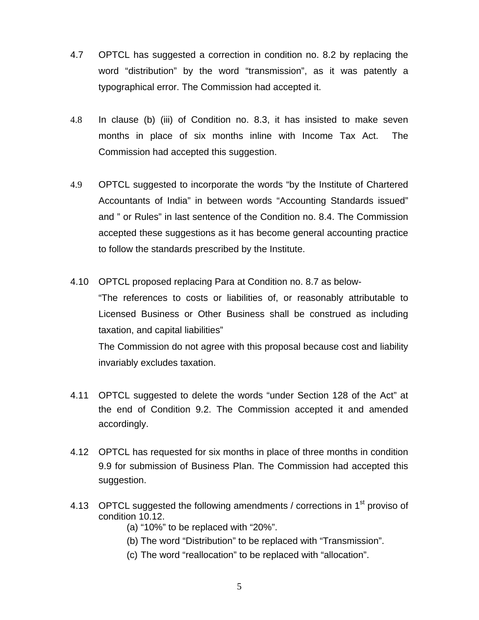- 4.7 OPTCL has suggested a correction in condition no. 8.2 by replacing the word "distribution" by the word "transmission", as it was patently a typographical error. The Commission had accepted it.
- 4.8 In clause (b) (iii) of Condition no. 8.3, it has insisted to make seven months in place of six months inline with Income Tax Act. The Commission had accepted this suggestion.
- 4.9 OPTCL suggested to incorporate the words "by the Institute of Chartered Accountants of India" in between words "Accounting Standards issued" and " or Rules" in last sentence of the Condition no. 8.4. The Commission accepted these suggestions as it has become general accounting practice to follow the standards prescribed by the Institute.
- 4.10 OPTCL proposed replacing Para at Condition no. 8.7 as below-

 "The references to costs or liabilities of, or reasonably attributable to Licensed Business or Other Business shall be construed as including taxation, and capital liabilities"

 The Commission do not agree with this proposal because cost and liability invariably excludes taxation.

- 4.11 OPTCL suggested to delete the words "under Section 128 of the Act" at the end of Condition 9.2. The Commission accepted it and amended accordingly.
- 4.12 OPTCL has requested for six months in place of three months in condition 9.9 for submission of Business Plan. The Commission had accepted this suggestion.
- 4.13 OPTCL suggested the following amendments / corrections in  $1<sup>st</sup>$  proviso of condition 10.12.
	- (a) "10%" to be replaced with "20%".
	- (b) The word "Distribution" to be replaced with "Transmission".
	- (c) The word "reallocation" to be replaced with "allocation".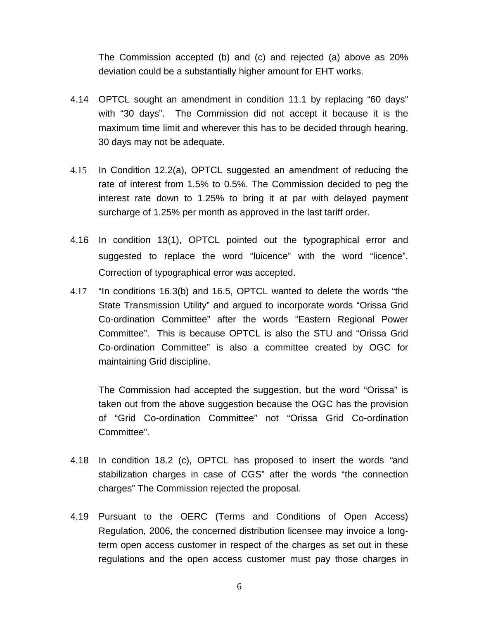The Commission accepted (b) and (c) and rejected (a) above as 20% deviation could be a substantially higher amount for EHT works.

- 4.14 OPTCL sought an amendment in condition 11.1 by replacing "60 days" with "30 days". The Commission did not accept it because it is the maximum time limit and wherever this has to be decided through hearing, 30 days may not be adequate.
- 4.15 In Condition 12.2(a), OPTCL suggested an amendment of reducing the rate of interest from 1.5% to 0.5%. The Commission decided to peg the interest rate down to 1.25% to bring it at par with delayed payment surcharge of 1.25% per month as approved in the last tariff order.
- 4.16 In condition 13(1), OPTCL pointed out the typographical error and suggested to replace the word "luicence" with the word "licence". Correction of typographical error was accepted.
- 4.17 "In conditions 16.3(b) and 16.5, OPTCL wanted to delete the words "the State Transmission Utility" and argued to incorporate words "Orissa Grid Co-ordination Committee" after the words "Eastern Regional Power Committee". This is because OPTCL is also the STU and "Orissa Grid Co-ordination Committee" is also a committee created by OGC for maintaining Grid discipline.

The Commission had accepted the suggestion, but the word "Orissa" is taken out from the above suggestion because the OGC has the provision of "Grid Co-ordination Committee" not "Orissa Grid Co-ordination Committee".

- 4.18 In condition 18.2 (c), OPTCL has proposed to insert the words *"*and stabilization charges in case of CGS" after the words "the connection charges" The Commission rejected the proposal.
- 4.19 Pursuant to the OERC (Terms and Conditions of Open Access) Regulation, 2006, the concerned distribution licensee may invoice a longterm open access customer in respect of the charges as set out in these regulations and the open access customer must pay those charges in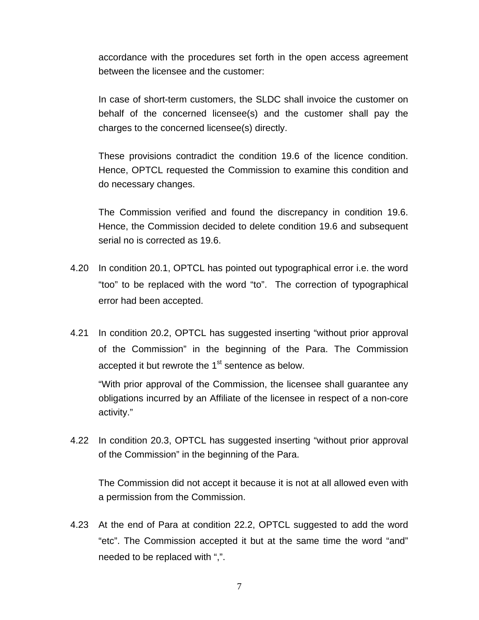accordance with the procedures set forth in the open access agreement between the licensee and the customer:

 In case of short-term customers, the SLDC shall invoice the customer on behalf of the concerned licensee(s) and the customer shall pay the charges to the concerned licensee(s) directly.

These provisions contradict the condition 19.6 of the licence condition. Hence, OPTCL requested the Commission to examine this condition and do necessary changes.

 The Commission verified and found the discrepancy in condition 19.6. Hence, the Commission decided to delete condition 19.6 and subsequent serial no is corrected as 19.6.

- 4.20 In condition 20.1, OPTCL has pointed out typographical error i.e. the word "too" to be replaced with the word "to". The correction of typographical error had been accepted.
- 4.21 In condition 20.2, OPTCL has suggested inserting "without prior approval of the Commission" in the beginning of the Para. The Commission accepted it but rewrote the  $1<sup>st</sup>$  sentence as below.

"With prior approval of the Commission, the licensee shall guarantee any obligations incurred by an Affiliate of the licensee in respect of a non-core activity."

4.22 In condition 20.3, OPTCL has suggested inserting "without prior approval of the Commission" in the beginning of the Para.

 The Commission did not accept it because it is not at all allowed even with a permission from the Commission.

4.23 At the end of Para at condition 22.2, OPTCL suggested to add the word "etc". The Commission accepted it but at the same time the word "and" needed to be replaced with ",".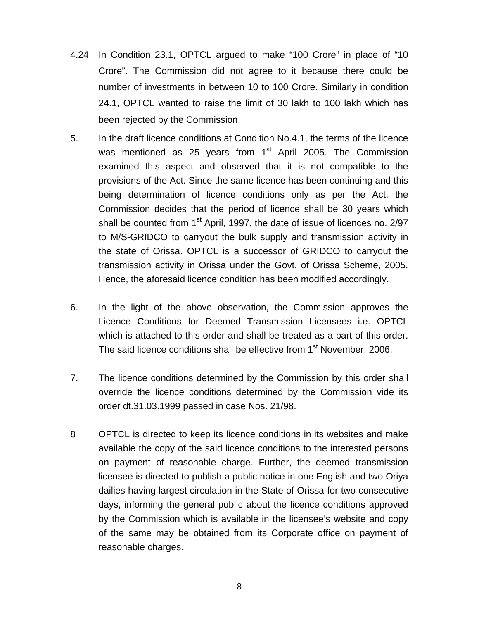- 4.24 In Condition 23.1, OPTCL argued to make "100 Crore" in place of "10 Crore". The Commission did not agree to it because there could be number of investments in between 10 to 100 Crore. Similarly in condition 24.1, OPTCL wanted to raise the limit of 30 lakh to 100 lakh which has been rejected by the Commission.
- 5. In the draft licence conditions at Condition No.4.1, the terms of the licence was mentioned as 25 years from 1<sup>st</sup> April 2005. The Commission examined this aspect and observed that it is not compatible to the provisions of the Act. Since the same licence has been continuing and this being determination of licence conditions only as per the Act, the Commission decides that the period of licence shall be 30 years which shall be counted from  $1<sup>st</sup>$  April, 1997, the date of issue of licences no. 2/97 to M/S-GRIDCO to carryout the bulk supply and transmission activity in the state of Orissa. OPTCL is a successor of GRIDCO to carryout the transmission activity in Orissa under the Govt. of Orissa Scheme, 2005. Hence, the aforesaid licence condition has been modified accordingly.
- 6. In the light of the above observation, the Commission approves the Licence Conditions for Deemed Transmission Licensees i.e. OPTCL which is attached to this order and shall be treated as a part of this order. The said licence conditions shall be effective from 1<sup>st</sup> November, 2006.
- 7. The licence conditions determined by the Commission by this order shall override the licence conditions determined by the Commission vide its order dt.31.03.1999 passed in case Nos. 21/98.
- 8 OPTCL is directed to keep its licence conditions in its websites and make available the copy of the said licence conditions to the interested persons on payment of reasonable charge. Further, the deemed transmission licensee is directed to publish a public notice in one English and two Oriya dailies having largest circulation in the State of Orissa for two consecutive days, informing the general public about the licence conditions approved by the Commission which is available in the licensee's website and copy of the same may be obtained from its Corporate office on payment of reasonable charges.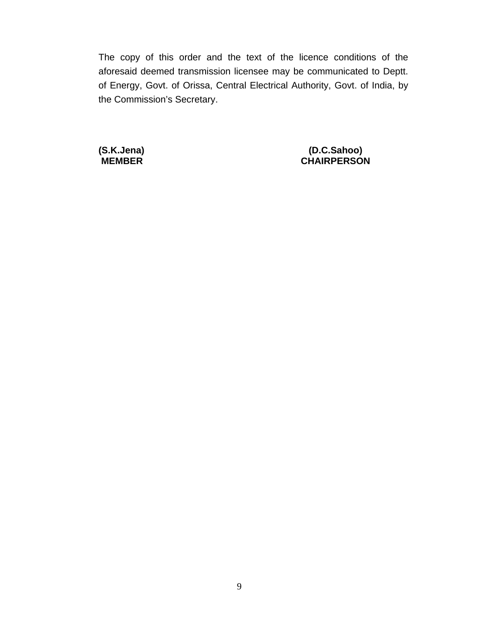The copy of this order and the text of the licence conditions of the aforesaid deemed transmission licensee may be communicated to Deptt. of Energy, Govt. of Orissa, Central Electrical Authority, Govt. of India, by the Commission's Secretary.

 **(S.K.Jena) (D.C.Sahoo) MEMBER CHAIRPERSON**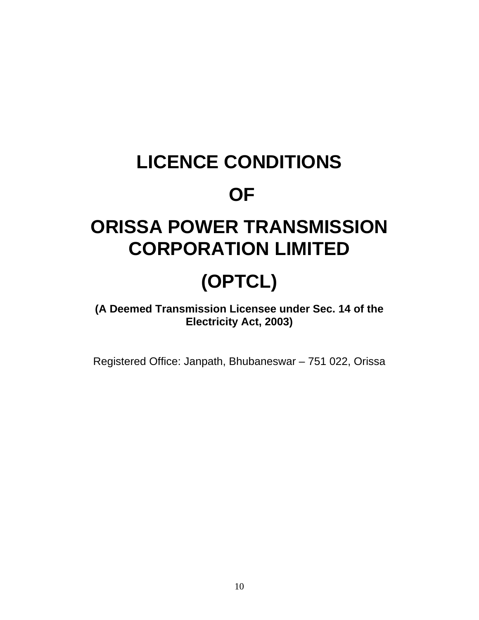# **LICENCE CONDITIONS**

## **OF**

## **ORISSA POWER TRANSMISSION CORPORATION LIMITED**

# **(OPTCL)**

## **(A Deemed Transmission Licensee under Sec. 14 of the Electricity Act, 2003)**

Registered Office: Janpath, Bhubaneswar – 751 022, Orissa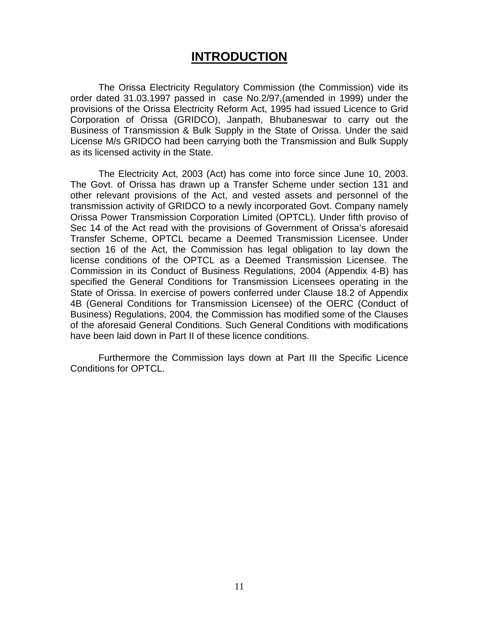## **INTRODUCTION**

The Orissa Electricity Regulatory Commission (the Commission) vide its order dated 31.03.1997 passed in case No.2/97,(amended in 1999) under the provisions of the Orissa Electricity Reform Act, 1995 had issued Licence to Grid Corporation of Orissa (GRIDCO), Janpath, Bhubaneswar to carry out the Business of Transmission & Bulk Supply in the State of Orissa. Under the said License M/s GRIDCO had been carrying both the Transmission and Bulk Supply as its licensed activity in the State.

 The Electricity Act, 2003 (Act) has come into force since June 10, 2003. The Govt. of Orissa has drawn up a Transfer Scheme under section 131 and other relevant provisions of the Act, and vested assets and personnel of the transmission activity of GRIDCO to a newly incorporated Govt. Company namely Orissa Power Transmission Corporation Limited (OPTCL). Under fifth proviso of Sec 14 of the Act read with the provisions of Government of Orissa's aforesaid Transfer Scheme, OPTCL became a Deemed Transmission Licensee. Under section 16 of the Act, the Commission has legal obligation to lay down the license conditions of the OPTCL as a Deemed Transmission Licensee. The Commission in its Conduct of Business Regulations, 2004 (Appendix 4-B) has specified the General Conditions for Transmission Licensees operating in the State of Orissa. In exercise of powers conferred under Clause 18.2 of Appendix 4B (General Conditions for Transmission Licensee) of the OERC (Conduct of Business) Regulations, 2004*,* the Commission has modified some of the Clauses of the aforesaid General Conditions. Such General Conditions with modifications have been laid down in Part II of these licence conditions.

 Furthermore the Commission lays down at Part III the Specific Licence Conditions for OPTCL.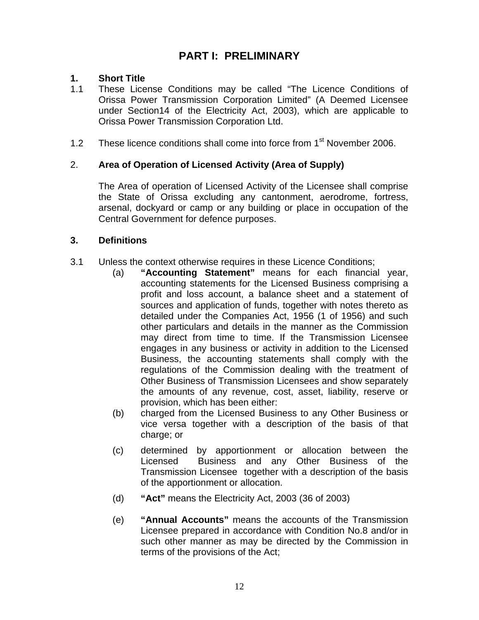## **PART I: PRELIMINARY**

#### **1. Short Title**

- 1.1 These License Conditions may be called "The Licence Conditions of Orissa Power Transmission Corporation Limited" (A Deemed Licensee under Section14 of the Electricity Act, 2003), which are applicable to Orissa Power Transmission Corporation Ltd.
- 1.2 These licence conditions shall come into force from 1<sup>st</sup> November 2006.

#### 2. **Area of Operation of Licensed Activity (Area of Supply)**

The Area of operation of Licensed Activity of the Licensee shall comprise the State of Orissa excluding any cantonment, aerodrome, fortress, arsenal, dockyard or camp or any building or place in occupation of the Central Government for defence purposes.

#### **3. Definitions**

- 3.1 Unless the context otherwise requires in these Licence Conditions;
	- (a) **"Accounting Statement"** means for each financial year, accounting statements for the Licensed Business comprising a profit and loss account, a balance sheet and a statement of sources and application of funds, together with notes thereto as detailed under the Companies Act, 1956 (1 of 1956) and such other particulars and details in the manner as the Commission may direct from time to time. If the Transmission Licensee engages in any business or activity in addition to the Licensed Business, the accounting statements shall comply with the regulations of the Commission dealing with the treatment of Other Business of Transmission Licensees and show separately the amounts of any revenue, cost, asset, liability, reserve or provision, which has been either:
	- (b) charged from the Licensed Business to any Other Business or vice versa together with a description of the basis of that charge; or
	- (c) determined by apportionment or allocation between the Licensed Business and any Other Business of the Transmission Licensee together with a description of the basis of the apportionment or allocation.
	- (d) **"Act"** means the Electricity Act, 2003 (36 of 2003)
	- (e) **"Annual Accounts"** means the accounts of the Transmission Licensee prepared in accordance with Condition No.8 and/or in such other manner as may be directed by the Commission in terms of the provisions of the Act;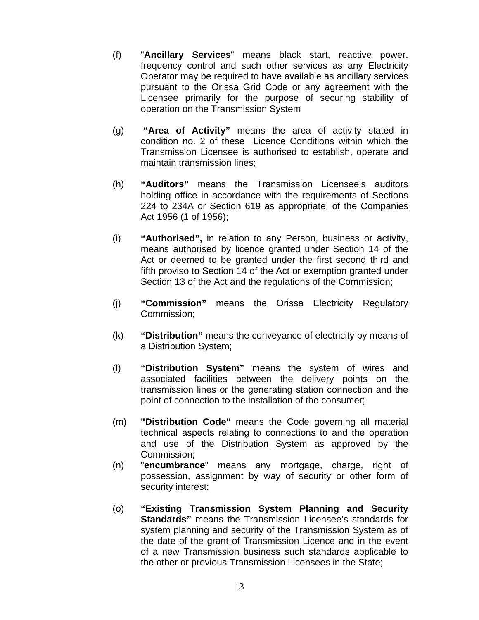- (f) "**Ancillary Services**" means black start, reactive power, frequency control and such other services as any Electricity Operator may be required to have available as ancillary services pursuant to the Orissa Grid Code or any agreement with the Licensee primarily for the purpose of securing stability of operation on the Transmission System
- (g) **"Area of Activity"** means the area of activity stated in condition no. 2 of these Licence Conditions within which the Transmission Licensee is authorised to establish, operate and maintain transmission lines;
- (h) **"Auditors"** means the Transmission Licensee's auditors holding office in accordance with the requirements of Sections 224 to 234A or Section 619 as appropriate, of the Companies Act 1956 (1 of 1956);
- (i) **"Authorised",** in relation to any Person, business or activity, means authorised by licence granted under Section 14 of the Act or deemed to be granted under the first second third and fifth proviso to Section 14 of the Act or exemption granted under Section 13 of the Act and the regulations of the Commission;
- (j) **"Commission"** means the Orissa Electricity Regulatory Commission;
- (k) **"Distribution"** means the conveyance of electricity by means of a Distribution System;
- (l) **"Distribution System"** means the system of wires and associated facilities between the delivery points on the transmission lines or the generating station connection and the point of connection to the installation of the consumer;
- (m) **"Distribution Code"** means the Code governing all material technical aspects relating to connections to and the operation and use of the Distribution System as approved by the Commission;
- (n) "**encumbrance**" means any mortgage, charge, right of possession, assignment by way of security or other form of security interest;
- (o) **"Existing Transmission System Planning and Security Standards"** means the Transmission Licensee's standards for system planning and security of the Transmission System as of the date of the grant of Transmission Licence and in the event of a new Transmission business such standards applicable to the other or previous Transmission Licensees in the State;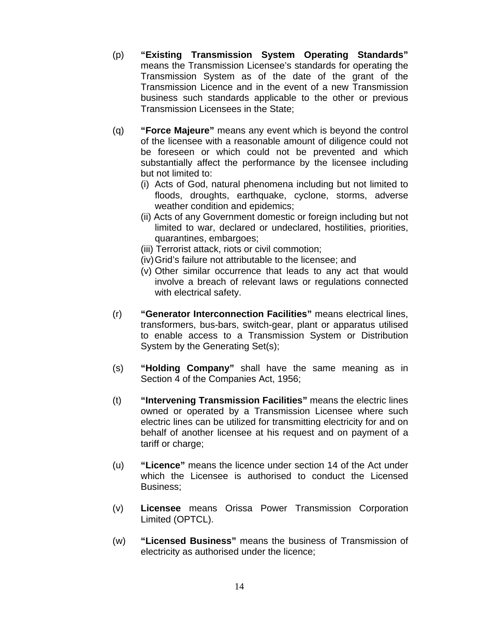- (p) **"Existing Transmission System Operating Standards"** means the Transmission Licensee's standards for operating the Transmission System as of the date of the grant of the Transmission Licence and in the event of a new Transmission business such standards applicable to the other or previous Transmission Licensees in the State;
- (q) **"Force Majeure"** means any event which is beyond the control of the licensee with a reasonable amount of diligence could not be foreseen or which could not be prevented and which substantially affect the performance by the licensee including but not limited to:
	- (i) Acts of God, natural phenomena including but not limited to floods, droughts, earthquake, cyclone, storms, adverse weather condition and epidemics;
	- (ii) Acts of any Government domestic or foreign including but not limited to war, declared or undeclared, hostilities, priorities, quarantines, embargoes;
	- (iii) Terrorist attack, riots or civil commotion;
	- (iv) Grid's failure not attributable to the licensee; and
	- (v) Other similar occurrence that leads to any act that would involve a breach of relevant laws or regulations connected with electrical safety.
- (r) **"Generator Interconnection Facilities"** means electrical lines, transformers, bus-bars, switch-gear, plant or apparatus utilised to enable access to a Transmission System or Distribution System by the Generating Set(s);
- (s) **"Holding Company"** shall have the same meaning as in Section 4 of the Companies Act, 1956;
- (t) **"Intervening Transmission Facilities"** means the electric lines owned or operated by a Transmission Licensee where such electric lines can be utilized for transmitting electricity for and on behalf of another licensee at his request and on payment of a tariff or charge;
- (u) **"Licence"** means the licence under section 14 of the Act under which the Licensee is authorised to conduct the Licensed Business;
- (v) **Licensee** means Orissa Power Transmission Corporation Limited (OPTCL).
- (w) **"Licensed Business"** means the business of Transmission of electricity as authorised under the licence;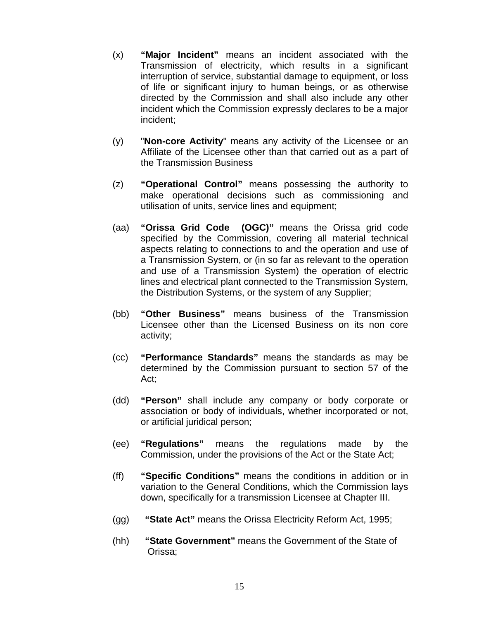- (x) **"Major Incident"** means an incident associated with the Transmission of electricity, which results in a significant interruption of service, substantial damage to equipment, or loss of life or significant injury to human beings, or as otherwise directed by the Commission and shall also include any other incident which the Commission expressly declares to be a major incident;
- (y) "**Non-core Activity**" means any activity of the Licensee or an Affiliate of the Licensee other than that carried out as a part of the Transmission Business
- (z) **"Operational Control"** means possessing the authority to make operational decisions such as commissioning and utilisation of units, service lines and equipment;
- (aa) **"Orissa Grid Code (OGC)"** means the Orissa grid code specified by the Commission, covering all material technical aspects relating to connections to and the operation and use of a Transmission System, or (in so far as relevant to the operation and use of a Transmission System) the operation of electric lines and electrical plant connected to the Transmission System, the Distribution Systems, or the system of any Supplier;
- (bb) **"Other Business"** means business of the Transmission Licensee other than the Licensed Business on its non core activity;
- (cc) **"Performance Standards"** means the standards as may be determined by the Commission pursuant to section 57 of the Act;
- (dd) **"Person"** shall include any company or body corporate or association or body of individuals, whether incorporated or not, or artificial juridical person;
- (ee) **"Regulations"** means the regulations made by the Commission, under the provisions of the Act or the State Act;
- (ff) **"Specific Conditions"** means the conditions in addition or in variation to the General Conditions, which the Commission lays down, specifically for a transmission Licensee at Chapter III.
- (gg) **"State Act"** means the Orissa Electricity Reform Act, 1995;
- (hh) **"State Government"** means the Government of the State of Orissa;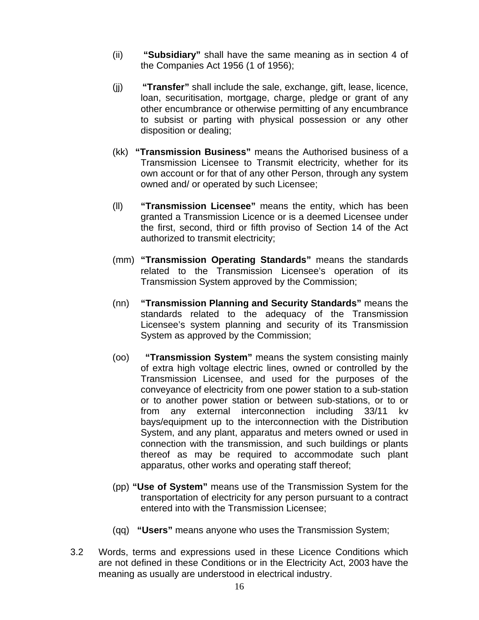- (ii) **"Subsidiary"** shall have the same meaning as in section 4 of the Companies Act 1956 (1 of 1956);
- (jj) **"Transfer"** shall include the sale, exchange, gift, lease, licence, loan, securitisation, mortgage, charge, pledge or grant of any other encumbrance or otherwise permitting of any encumbrance to subsist or parting with physical possession or any other disposition or dealing;
- (kk) **"Transmission Business"** means the Authorised business of a Transmission Licensee to Transmit electricity, whether for its own account or for that of any other Person, through any system owned and/ or operated by such Licensee;
- (ll) **"Transmission Licensee"** means the entity, which has been granted a Transmission Licence or is a deemed Licensee under the first, second, third or fifth proviso of Section 14 of the Act authorized to transmit electricity;
- (mm) **"Transmission Operating Standards"** means the standards related to the Transmission Licensee's operation of its Transmission System approved by the Commission;
- (nn) **"Transmission Planning and Security Standards"** means the standards related to the adequacy of the Transmission Licensee's system planning and security of its Transmission System as approved by the Commission;
- (oo) **"Transmission System"** means the system consisting mainly of extra high voltage electric lines, owned or controlled by the Transmission Licensee, and used for the purposes of the conveyance of electricity from one power station to a sub-station or to another power station or between sub-stations, or to or from any external interconnection including 33/11 kv bays/equipment up to the interconnection with the Distribution System, and any plant, apparatus and meters owned or used in connection with the transmission, and such buildings or plants thereof as may be required to accommodate such plant apparatus, other works and operating staff thereof;
- (pp) **"Use of System"** means use of the Transmission System for the transportation of electricity for any person pursuant to a contract entered into with the Transmission Licensee;
- (qq) **"Users"** means anyone who uses the Transmission System;
- 3.2 Words, terms and expressions used in these Licence Conditions which are not defined in these Conditions or in the Electricity Act, 2003 have the meaning as usually are understood in electrical industry.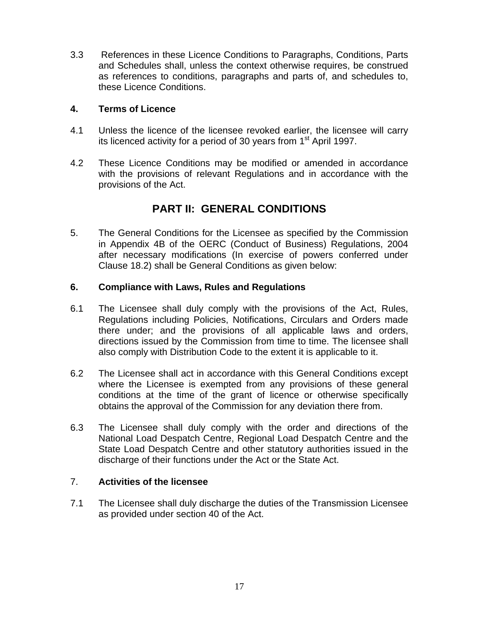3.3 References in these Licence Conditions to Paragraphs, Conditions, Parts and Schedules shall, unless the context otherwise requires, be construed as references to conditions, paragraphs and parts of, and schedules to, these Licence Conditions.

#### **4. Terms of Licence**

- 4.1 Unless the licence of the licensee revoked earlier, the licensee will carry its licenced activity for a period of 30 years from  $1<sup>st</sup>$  April 1997.
- 4.2 These Licence Conditions may be modified or amended in accordance with the provisions of relevant Regulations and in accordance with the provisions of the Act.

## **PART II: GENERAL CONDITIONS**

5. The General Conditions for the Licensee as specified by the Commission in Appendix 4B of the OERC (Conduct of Business) Regulations, 2004 after necessary modifications (In exercise of powers conferred under Clause 18.2) shall be General Conditions as given below:

#### **6. Compliance with Laws, Rules and Regulations**

- 6.1 The Licensee shall duly comply with the provisions of the Act, Rules, Regulations including Policies, Notifications, Circulars and Orders made there under; and the provisions of all applicable laws and orders, directions issued by the Commission from time to time. The licensee shall also comply with Distribution Code to the extent it is applicable to it.
- 6.2 The Licensee shall act in accordance with this General Conditions except where the Licensee is exempted from any provisions of these general conditions at the time of the grant of licence or otherwise specifically obtains the approval of the Commission for any deviation there from.
- 6.3 The Licensee shall duly comply with the order and directions of the National Load Despatch Centre, Regional Load Despatch Centre and the State Load Despatch Centre and other statutory authorities issued in the discharge of their functions under the Act or the State Act.

#### 7. **Activities of the licensee**

7.1 The Licensee shall duly discharge the duties of the Transmission Licensee as provided under section 40 of the Act.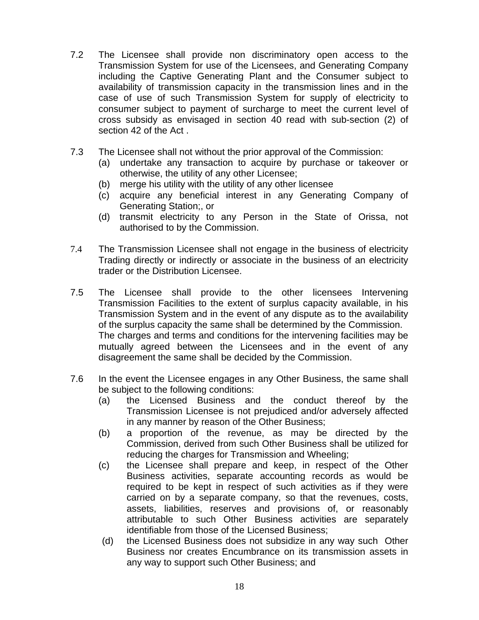- 7.2 The Licensee shall provide non discriminatory open access to the Transmission System for use of the Licensees, and Generating Company including the Captive Generating Plant and the Consumer subject to availability of transmission capacity in the transmission lines and in the case of use of such Transmission System for supply of electricity to consumer subject to payment of surcharge to meet the current level of cross subsidy as envisaged in section 40 read with sub-section (2) of section 42 of the Act .
- 7.3 The Licensee shall not without the prior approval of the Commission:
	- (a) undertake any transaction to acquire by purchase or takeover or otherwise, the utility of any other Licensee;
	- (b) merge his utility with the utility of any other licensee
	- (c) acquire any beneficial interest in any Generating Company of Generating Station;, or
	- (d) transmit electricity to any Person in the State of Orissa, not authorised to by the Commission.
- 7.4 The Transmission Licensee shall not engage in the business of electricity Trading directly or indirectly or associate in the business of an electricity trader or the Distribution Licensee.
- 7.5 The Licensee shall provide to the other licensees Intervening Transmission Facilities to the extent of surplus capacity available, in his Transmission System and in the event of any dispute as to the availability of the surplus capacity the same shall be determined by the Commission. The charges and terms and conditions for the intervening facilities may be mutually agreed between the Licensees and in the event of any disagreement the same shall be decided by the Commission.
- 7.6 In the event the Licensee engages in any Other Business, the same shall be subject to the following conditions:
	- (a) the Licensed Business and the conduct thereof by the Transmission Licensee is not prejudiced and/or adversely affected in any manner by reason of the Other Business;
	- (b) a proportion of the revenue, as may be directed by the Commission, derived from such Other Business shall be utilized for reducing the charges for Transmission and Wheeling;
	- (c) the Licensee shall prepare and keep, in respect of the Other Business activities, separate accounting records as would be required to be kept in respect of such activities as if they were carried on by a separate company, so that the revenues, costs, assets, liabilities, reserves and provisions of, or reasonably attributable to such Other Business activities are separately identifiable from those of the Licensed Business;
	- (d) the Licensed Business does not subsidize in any way such Other Business nor creates Encumbrance on its transmission assets in any way to support such Other Business; and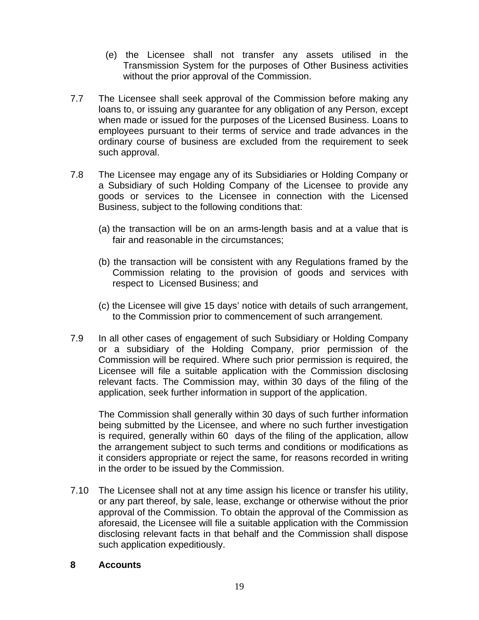- (e) the Licensee shall not transfer any assets utilised in the Transmission System for the purposes of Other Business activities without the prior approval of the Commission.
- 7.7 The Licensee shall seek approval of the Commission before making any loans to, or issuing any guarantee for any obligation of any Person, except when made or issued for the purposes of the Licensed Business. Loans to employees pursuant to their terms of service and trade advances in the ordinary course of business are excluded from the requirement to seek such approval.
- 7.8 The Licensee may engage any of its Subsidiaries or Holding Company or a Subsidiary of such Holding Company of the Licensee to provide any goods or services to the Licensee in connection with the Licensed Business, subject to the following conditions that:
	- (a) the transaction will be on an arms-length basis and at a value that is fair and reasonable in the circumstances;
	- (b) the transaction will be consistent with any Regulations framed by the Commission relating to the provision of goods and services with respect to Licensed Business; and
	- (c) the Licensee will give 15 days' notice with details of such arrangement, to the Commission prior to commencement of such arrangement.
- 7.9 In all other cases of engagement of such Subsidiary or Holding Company or a subsidiary of the Holding Company, prior permission of the Commission will be required. Where such prior permission is required, the Licensee will file a suitable application with the Commission disclosing relevant facts. The Commission may, within 30 days of the filing of the application, seek further information in support of the application.

The Commission shall generally within 30 days of such further information being submitted by the Licensee, and where no such further investigation is required, generally within 60 days of the filing of the application, allow the arrangement subject to such terms and conditions or modifications as it considers appropriate or reject the same, for reasons recorded in writing in the order to be issued by the Commission.

7.10 The Licensee shall not at any time assign his licence or transfer his utility, or any part thereof, by sale, lease, exchange or otherwise without the prior approval of the Commission. To obtain the approval of the Commission as aforesaid, the Licensee will file a suitable application with the Commission disclosing relevant facts in that behalf and the Commission shall dispose such application expeditiously.

#### **8 Accounts**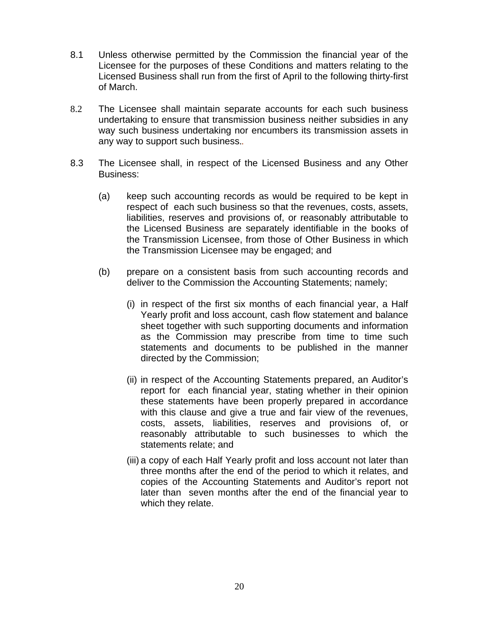- 8.1 Unless otherwise permitted by the Commission the financial year of the Licensee for the purposes of these Conditions and matters relating to the Licensed Business shall run from the first of April to the following thirty-first of March.
- 8.2 The Licensee shall maintain separate accounts for each such business undertaking to ensure that transmission business neither subsidies in any way such business undertaking nor encumbers its transmission assets in any way to support such business.*.*
- 8.3 The Licensee shall, in respect of the Licensed Business and any Other Business:
	- (a) keep such accounting records as would be required to be kept in respect of each such business so that the revenues, costs, assets, liabilities, reserves and provisions of, or reasonably attributable to the Licensed Business are separately identifiable in the books of the Transmission Licensee, from those of Other Business in which the Transmission Licensee may be engaged; and
	- (b) prepare on a consistent basis from such accounting records and deliver to the Commission the Accounting Statements; namely;
		- (i) in respect of the first six months of each financial year, a Half Yearly profit and loss account, cash flow statement and balance sheet together with such supporting documents and information as the Commission may prescribe from time to time such statements and documents to be published in the manner directed by the Commission;
		- (ii) in respect of the Accounting Statements prepared, an Auditor's report for each financial year, stating whether in their opinion these statements have been properly prepared in accordance with this clause and give a true and fair view of the revenues, costs, assets, liabilities, reserves and provisions of, or reasonably attributable to such businesses to which the statements relate; and
		- (iii) a copy of each Half Yearly profit and loss account not later than three months after the end of the period to which it relates, and copies of the Accounting Statements and Auditor's report not later than seven months after the end of the financial year to which they relate.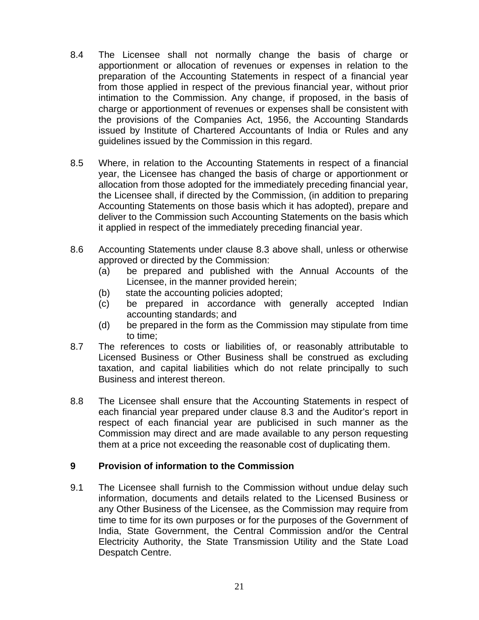- 8.4 The Licensee shall not normally change the basis of charge or apportionment or allocation of revenues or expenses in relation to the preparation of the Accounting Statements in respect of a financial year from those applied in respect of the previous financial year, without prior intimation to the Commission. Any change, if proposed, in the basis of charge or apportionment of revenues or expenses shall be consistent with the provisions of the Companies Act, 1956, the Accounting Standards issued by Institute of Chartered Accountants of India or Rules and any guidelines issued by the Commission in this regard.
- 8.5 Where, in relation to the Accounting Statements in respect of a financial year, the Licensee has changed the basis of charge or apportionment or allocation from those adopted for the immediately preceding financial year, the Licensee shall, if directed by the Commission, (in addition to preparing Accounting Statements on those basis which it has adopted), prepare and deliver to the Commission such Accounting Statements on the basis which it applied in respect of the immediately preceding financial year.
- 8.6 Accounting Statements under clause 8.3 above shall, unless or otherwise approved or directed by the Commission:
	- (a) be prepared and published with the Annual Accounts of the Licensee, in the manner provided herein;
	- (b) state the accounting policies adopted;
	- (c) be prepared in accordance with generally accepted Indian accounting standards; and
	- (d) be prepared in the form as the Commission may stipulate from time to time;
- 8.7 The references to costs or liabilities of, or reasonably attributable to Licensed Business or Other Business shall be construed as excluding taxation, and capital liabilities which do not relate principally to such Business and interest thereon.
- 8.8 The Licensee shall ensure that the Accounting Statements in respect of each financial year prepared under clause 8.3 and the Auditor's report in respect of each financial year are publicised in such manner as the Commission may direct and are made available to any person requesting them at a price not exceeding the reasonable cost of duplicating them.

#### **9 Provision of information to the Commission**

9.1 The Licensee shall furnish to the Commission without undue delay such information, documents and details related to the Licensed Business or any Other Business of the Licensee, as the Commission may require from time to time for its own purposes or for the purposes of the Government of India, State Government, the Central Commission and/or the Central Electricity Authority, the State Transmission Utility and the State Load Despatch Centre.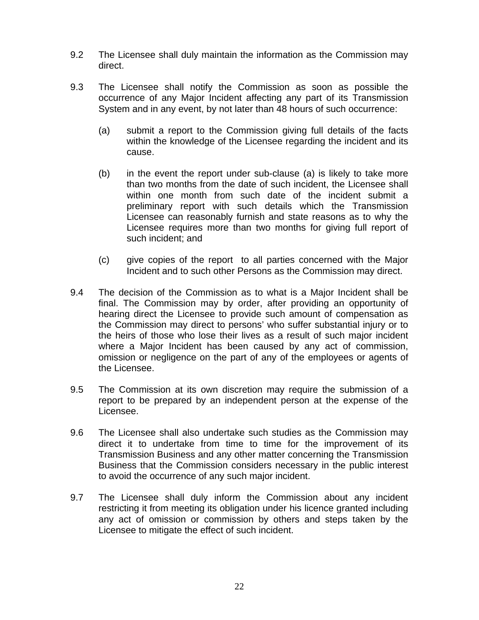- 9.2 The Licensee shall duly maintain the information as the Commission may direct.
- 9.3 The Licensee shall notify the Commission as soon as possible the occurrence of any Major Incident affecting any part of its Transmission System and in any event, by not later than 48 hours of such occurrence:
	- (a) submit a report to the Commission giving full details of the facts within the knowledge of the Licensee regarding the incident and its cause.
	- (b) in the event the report under sub-clause (a) is likely to take more than two months from the date of such incident, the Licensee shall within one month from such date of the incident submit a preliminary report with such details which the Transmission Licensee can reasonably furnish and state reasons as to why the Licensee requires more than two months for giving full report of such incident; and
	- (c) give copies of the report to all parties concerned with the Major Incident and to such other Persons as the Commission may direct.
- 9.4 The decision of the Commission as to what is a Major Incident shall be final. The Commission may by order, after providing an opportunity of hearing direct the Licensee to provide such amount of compensation as the Commission may direct to persons' who suffer substantial injury or to the heirs of those who lose their lives as a result of such major incident where a Major Incident has been caused by any act of commission, omission or negligence on the part of any of the employees or agents of the Licensee.
- 9.5 The Commission at its own discretion may require the submission of a report to be prepared by an independent person at the expense of the Licensee.
- 9.6 The Licensee shall also undertake such studies as the Commission may direct it to undertake from time to time for the improvement of its Transmission Business and any other matter concerning the Transmission Business that the Commission considers necessary in the public interest to avoid the occurrence of any such major incident.
- 9.7 The Licensee shall duly inform the Commission about any incident restricting it from meeting its obligation under his licence granted including any act of omission or commission by others and steps taken by the Licensee to mitigate the effect of such incident.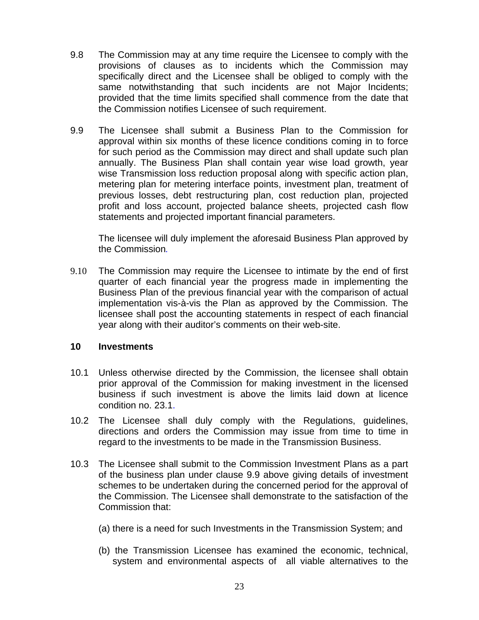- 9.8 The Commission may at any time require the Licensee to comply with the provisions of clauses as to incidents which the Commission may specifically direct and the Licensee shall be obliged to comply with the same notwithstanding that such incidents are not Major Incidents; provided that the time limits specified shall commence from the date that the Commission notifies Licensee of such requirement.
- 9.9 The Licensee shall submit a Business Plan to the Commission for approval within six months of these licence conditions coming in to force for such period as the Commission may direct and shall update such plan annually. The Business Plan shall contain year wise load growth, year wise Transmission loss reduction proposal along with specific action plan, metering plan for metering interface points, investment plan, treatment of previous losses, debt restructuring plan, cost reduction plan, projected profit and loss account, projected balance sheets, projected cash flow statements and projected important financial parameters.

 The licensee will duly implement the aforesaid Business Plan approved by the Commission*.* 

9.10 The Commission may require the Licensee to intimate by the end of first quarter of each financial year the progress made in implementing the Business Plan of the previous financial year with the comparison of actual implementation vis-à-vis the Plan as approved by the Commission. The licensee shall post the accounting statements in respect of each financial year along with their auditor's comments on their web-site.

#### **10 Investments**

- 10.1 Unless otherwise directed by the Commission, the licensee shall obtain prior approval of the Commission for making investment in the licensed business if such investment is above the limits laid down at licence condition no. 23.1.
- 10.2 The Licensee shall duly comply with the Regulations, guidelines, directions and orders the Commission may issue from time to time in regard to the investments to be made in the Transmission Business.
- 10.3 The Licensee shall submit to the Commission Investment Plans as a part of the business plan under clause 9.9 above giving details of investment schemes to be undertaken during the concerned period for the approval of the Commission. The Licensee shall demonstrate to the satisfaction of the Commission that:
	- (a) there is a need for such Investments in the Transmission System; and
	- (b) the Transmission Licensee has examined the economic, technical, system and environmental aspects of all viable alternatives to the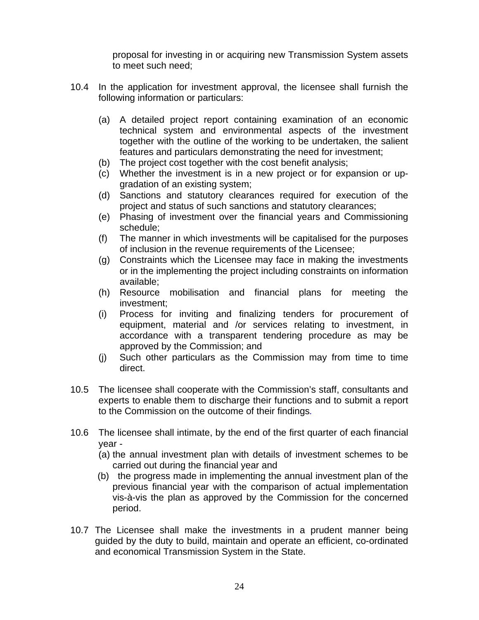proposal for investing in or acquiring new Transmission System assets to meet such need;

- 10.4 In the application for investment approval, the licensee shall furnish the following information or particulars:
	- (a) A detailed project report containing examination of an economic technical system and environmental aspects of the investment together with the outline of the working to be undertaken, the salient features and particulars demonstrating the need for investment;
	- (b) The project cost together with the cost benefit analysis;
	- (c) Whether the investment is in a new project or for expansion or upgradation of an existing system;
	- (d) Sanctions and statutory clearances required for execution of the project and status of such sanctions and statutory clearances;
	- (e) Phasing of investment over the financial years and Commissioning schedule;
	- (f) The manner in which investments will be capitalised for the purposes of inclusion in the revenue requirements of the Licensee;
	- (g) Constraints which the Licensee may face in making the investments or in the implementing the project including constraints on information available;
	- (h) Resource mobilisation and financial plans for meeting the investment;
	- (i) Process for inviting and finalizing tenders for procurement of equipment, material and /or services relating to investment, in accordance with a transparent tendering procedure as may be approved by the Commission; and
	- (j) Such other particulars as the Commission may from time to time direct.
- 10.5 The licensee shall cooperate with the Commission's staff, consultants and experts to enable them to discharge their functions and to submit a report to the Commission on the outcome of their findings*.*
- 10.6 The licensee shall intimate, by the end of the first quarter of each financial year -
	- (a) the annual investment plan with details of investment schemes to be carried out during the financial year and
	- (b) the progress made in implementing the annual investment plan of the previous financial year with the comparison of actual implementation vis-à-vis the plan as approved by the Commission for the concerned period.
- 10.7 The Licensee shall make the investments in a prudent manner being guided by the duty to build, maintain and operate an efficient, co-ordinated and economical Transmission System in the State.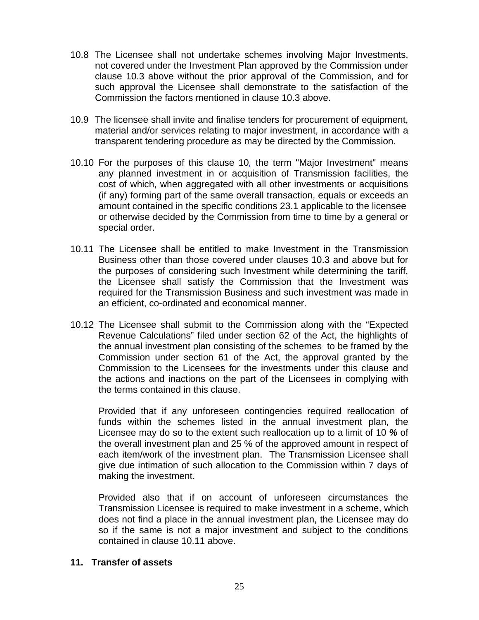- 10.8 The Licensee shall not undertake schemes involving Major Investments, not covered under the Investment Plan approved by the Commission under clause 10.3 above without the prior approval of the Commission, and for such approval the Licensee shall demonstrate to the satisfaction of the Commission the factors mentioned in clause 10.3 above.
- 10.9 The licensee shall invite and finalise tenders for procurement of equipment, material and/or services relating to major investment, in accordance with a transparent tendering procedure as may be directed by the Commission.
- 10.10 For the purposes of this clause 10*,* the term "Major Investment" means any planned investment in or acquisition of Transmission facilities, the cost of which, when aggregated with all other investments or acquisitions (if any) forming part of the same overall transaction, equals or exceeds an amount contained in the specific conditions 23.1 applicable to the licensee or otherwise decided by the Commission from time to time by a general or special order.
- 10.11 The Licensee shall be entitled to make Investment in the Transmission Business other than those covered under clauses 10.3 and above but for the purposes of considering such Investment while determining the tariff, the Licensee shall satisfy the Commission that the Investment was required for the Transmission Business and such investment was made in an efficient, co-ordinated and economical manner.
- 10.12 The Licensee shall submit to the Commission along with the "Expected Revenue Calculations" filed under section 62 of the Act, the highlights of the annual investment plan consisting of the schemes to be framed by the Commission under section 61 of the Act, the approval granted by the Commission to the Licensees for the investments under this clause and the actions and inactions on the part of the Licensees in complying with the terms contained in this clause.

Provided that if any unforeseen contingencies required reallocation of funds within the schemes listed in the annual investment plan, the Licensee may do so to the extent such reallocation up to a limit of 10 *%* of the overall investment plan and 25 % of the approved amount in respect of each item/work of the investment plan. The Transmission Licensee shall give due intimation of such allocation to the Commission within 7 days of making the investment.

 Provided also that if on account of unforeseen circumstances the Transmission Licensee is required to make investment in a scheme, which does not find a place in the annual investment plan, the Licensee may do so if the same is not a major investment and subject to the conditions contained in clause 10.11 above.

#### **11. Transfer of assets**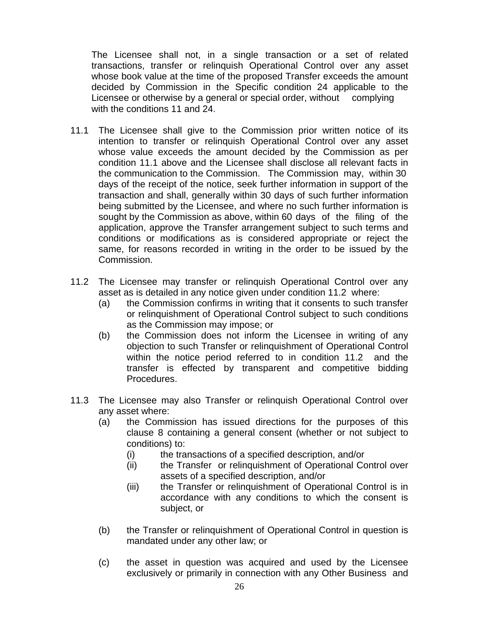The Licensee shall not, in a single transaction or a set of related transactions, transfer or relinquish Operational Control over any asset whose book value at the time of the proposed Transfer exceeds the amount decided by Commission in the Specific condition 24 applicable to the Licensee or otherwise by a general or special order, without complying with the conditions 11 and 24.

- 11.1 The Licensee shall give to the Commission prior written notice of its intention to transfer or relinquish Operational Control over any asset whose value exceeds the amount decided by the Commission as per condition 11.1 above and the Licensee shall disclose all relevant facts in the communication to the Commission. The Commission may, within 30 days of the receipt of the notice, seek further information in support of the transaction and shall, generally within 30 days of such further information being submitted by the Licensee, and where no such further information is sought by the Commission as above, within 60 days of the filing of the application, approve the Transfer arrangement subject to such terms and conditions or modifications as is considered appropriate or reject the same, for reasons recorded in writing in the order to be issued by the Commission.
- 11.2 The Licensee may transfer or relinquish Operational Control over any asset as is detailed in any notice given under condition 11.2 where:
	- (a) the Commission confirms in writing that it consents to such transfer or relinquishment of Operational Control subject to such conditions as the Commission may impose; or
	- (b) the Commission does not inform the Licensee in writing of any objection to such Transfer or relinquishment of Operational Control within the notice period referred to in condition 11.2 and the transfer is effected by transparent and competitive bidding Procedures.
- 11.3 The Licensee may also Transfer or relinquish Operational Control over any asset where:
	- (a) the Commission has issued directions for the purposes of this clause 8 containing a general consent (whether or not subject to conditions) to:
		- (i) the transactions of a specified description, and/or
		- (ii) the Transfer or relinquishment of Operational Control over assets of a specified description, and/or
		- (iii) the Transfer or relinquishment of Operational Control is in accordance with any conditions to which the consent is subject, or
	- (b) the Transfer or relinquishment of Operational Control in question is mandated under any other law; or
	- (c) the asset in question was acquired and used by the Licensee exclusively or primarily in connection with any Other Business and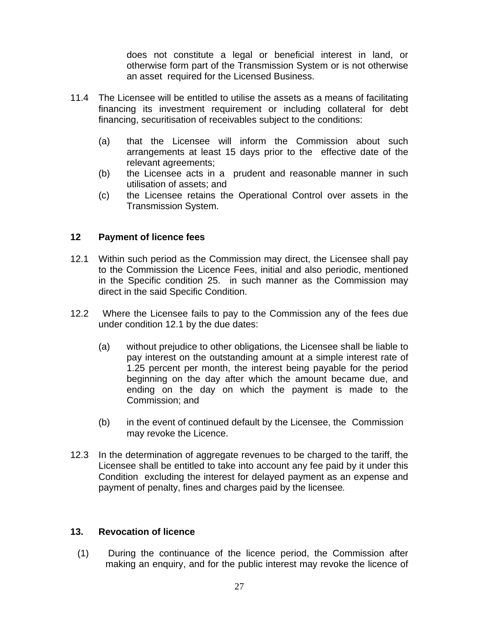does not constitute a legal or beneficial interest in land, or otherwise form part of the Transmission System or is not otherwise an asset required for the Licensed Business.

- 11.4 The Licensee will be entitled to utilise the assets as a means of facilitating financing its investment requirement or including collateral for debt financing, securitisation of receivables subject to the conditions:
	- (a) that the Licensee will inform the Commission about such arrangements at least 15 days prior to the effective date of the relevant agreements;
	- (b) the Licensee acts in a prudent and reasonable manner in such utilisation of assets; and
	- (c) the Licensee retains the Operational Control over assets in the Transmission System.

#### **12 Payment of licence fees**

- 12.1 Within such period as the Commission may direct, the Licensee shall pay to the Commission the Licence Fees, initial and also periodic, mentioned in the Specific condition 25. in such manner as the Commission may direct in the said Specific Condition.
- 12.2 Where the Licensee fails to pay to the Commission any of the fees due under condition 12.1 by the due dates:
	- (a) without prejudice to other obligations, the Licensee shall be liable to pay interest on the outstanding amount at a simple interest rate of 1.25 percent per month, the interest being payable for the period beginning on the day after which the amount became due, and ending on the day on which the payment is made to the Commission; and
	- (b) in the event of continued default by the Licensee, the Commission may revoke the Licence.
- 12.3 In the determination of aggregate revenues to be charged to the tariff, the Licensee shall be entitled to take into account any fee paid by it under this Condition excluding the interest for delayed payment as an expense and payment of penalty, fines and charges paid by the licensee*.*

#### **13. Revocation of licence**

(1) During the continuance of the licence period, the Commission after making an enquiry, and for the public interest may revoke the licence of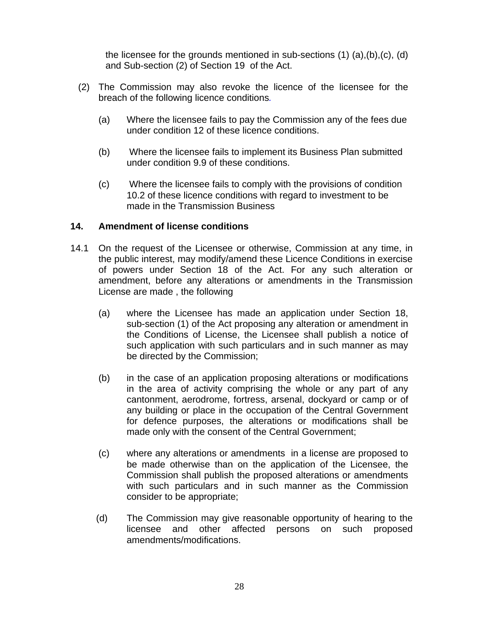the licensee for the grounds mentioned in sub-sections (1) (a),(b),(c), (d) and Sub-section (2) of Section 19 of the Act.

- (2) The Commission may also revoke the licence of the licensee for the breach of the following licence conditions*.* 
	- (a) Where the licensee fails to pay the Commission any of the fees due under condition 12 of these licence conditions.
	- (b) Where the licensee fails to implement its Business Plan submitted under condition 9.9 of these conditions.
	- (c) Where the licensee fails to comply with the provisions of condition 10.2 of these licence conditions with regard to investment to be made in the Transmission Business

#### **14. Amendment of license conditions**

- 14.1 On the request of the Licensee or otherwise, Commission at any time, in the public interest, may modify/amend these Licence Conditions in exercise of powers under Section 18 of the Act. For any such alteration or amendment, before any alterations or amendments in the Transmission License are made , the following
	- (a) where the Licensee has made an application under Section 18, sub-section (1) of the Act proposing any alteration or amendment in the Conditions of License, the Licensee shall publish a notice of such application with such particulars and in such manner as may be directed by the Commission;
	- (b) in the case of an application proposing alterations or modifications in the area of activity comprising the whole or any part of any cantonment, aerodrome, fortress, arsenal, dockyard or camp or of any building or place in the occupation of the Central Government for defence purposes, the alterations or modifications shall be made only with the consent of the Central Government;
	- (c) where any alterations or amendments in a license are proposed to be made otherwise than on the application of the Licensee, the Commission shall publish the proposed alterations or amendments with such particulars and in such manner as the Commission consider to be appropriate;
	- (d) The Commission may give reasonable opportunity of hearing to the licensee and other affected persons on such proposed amendments/modifications.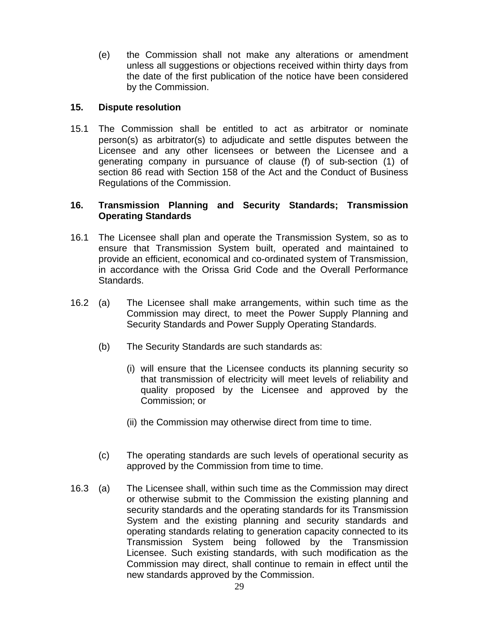(e) the Commission shall not make any alterations or amendment unless all suggestions or objections received within thirty days from the date of the first publication of the notice have been considered by the Commission.

#### **15. Dispute resolution**

15.1 The Commission shall be entitled to act as arbitrator or nominate person(s) as arbitrator(s) to adjudicate and settle disputes between the Licensee and any other licensees or between the Licensee and a generating company in pursuance of clause (f) of sub-section (1) of section 86 read with Section 158 of the Act and the Conduct of Business Regulations of the Commission.

#### **16. Transmission Planning and Security Standards; Transmission Operating Standards**

- 16.1 The Licensee shall plan and operate the Transmission System, so as to ensure that Transmission System built, operated and maintained to provide an efficient, economical and co-ordinated system of Transmission, in accordance with the Orissa Grid Code and the Overall Performance Standards.
- 16.2 (a) The Licensee shall make arrangements, within such time as the Commission may direct, to meet the Power Supply Planning and Security Standards and Power Supply Operating Standards.
	- (b) The Security Standards are such standards as:
		- (i) will ensure that the Licensee conducts its planning security so that transmission of electricity will meet levels of reliability and quality proposed by the Licensee and approved by the Commission; or
		- (ii) the Commission may otherwise direct from time to time.
	- (c) The operating standards are such levels of operational security as approved by the Commission from time to time.
- 16.3 (a) The Licensee shall, within such time as the Commission may direct or otherwise submit to the Commission the existing planning and security standards and the operating standards for its Transmission System and the existing planning and security standards and operating standards relating to generation capacity connected to its Transmission System being followed by the Transmission Licensee. Such existing standards, with such modification as the Commission may direct, shall continue to remain in effect until the new standards approved by the Commission.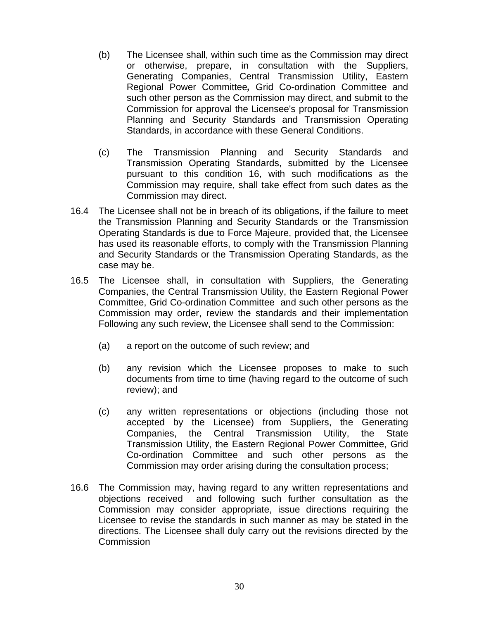- (b) The Licensee shall, within such time as the Commission may direct or otherwise, prepare, in consultation with the Suppliers, Generating Companies, Central Transmission Utility, Eastern Regional Power Committee*,* Grid Co-ordination Committee and such other person as the Commission may direct, and submit to the Commission for approval the Licensee's proposal for Transmission Planning and Security Standards and Transmission Operating Standards, in accordance with these General Conditions.
- (c) The Transmission Planning and Security Standards and Transmission Operating Standards, submitted by the Licensee pursuant to this condition 16, with such modifications as the Commission may require, shall take effect from such dates as the Commission may direct.
- 16.4 The Licensee shall not be in breach of its obligations, if the failure to meet the Transmission Planning and Security Standards or the Transmission Operating Standards is due to Force Majeure, provided that, the Licensee has used its reasonable efforts, to comply with the Transmission Planning and Security Standards or the Transmission Operating Standards, as the case may be.
- 16.5 The Licensee shall, in consultation with Suppliers, the Generating Companies, the Central Transmission Utility, the Eastern Regional Power Committee, Grid Co-ordination Committee and such other persons as the Commission may order, review the standards and their implementation Following any such review, the Licensee shall send to the Commission:
	- (a) a report on the outcome of such review; and
	- (b) any revision which the Licensee proposes to make to such documents from time to time (having regard to the outcome of such review); and
	- (c) any written representations or objections (including those not accepted by the Licensee) from Suppliers, the Generating Companies, the Central Transmission Utility, the State Transmission Utility, the Eastern Regional Power Committee, Grid Co-ordination Committee and such other persons as the Commission may order arising during the consultation process;
- 16.6 The Commission may, having regard to any written representations and objections received and following such further consultation as the Commission may consider appropriate, issue directions requiring the Licensee to revise the standards in such manner as may be stated in the directions. The Licensee shall duly carry out the revisions directed by the Commission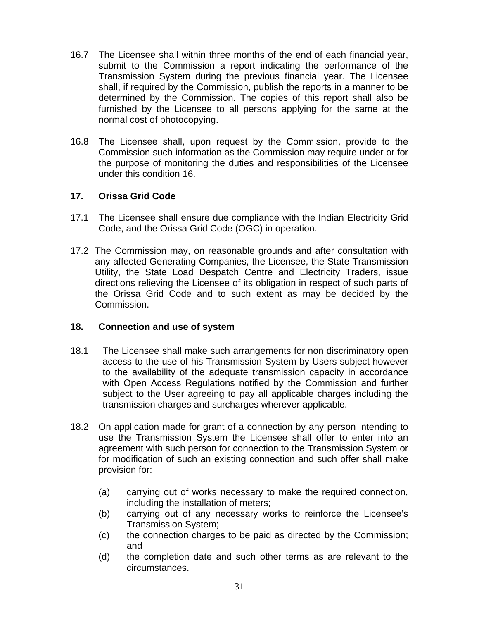- 16.7 The Licensee shall within three months of the end of each financial year, submit to the Commission a report indicating the performance of the Transmission System during the previous financial year. The Licensee shall, if required by the Commission, publish the reports in a manner to be determined by the Commission. The copies of this report shall also be furnished by the Licensee to all persons applying for the same at the normal cost of photocopying.
- 16.8 The Licensee shall, upon request by the Commission, provide to the Commission such information as the Commission may require under or for the purpose of monitoring the duties and responsibilities of the Licensee under this condition 16.

#### **17. Orissa Grid Code**

- 17.1 The Licensee shall ensure due compliance with the Indian Electricity Grid Code, and the Orissa Grid Code (OGC) in operation.
- 17.2 The Commission may, on reasonable grounds and after consultation with any affected Generating Companies, the Licensee, the State Transmission Utility, the State Load Despatch Centre and Electricity Traders, issue directions relieving the Licensee of its obligation in respect of such parts of the Orissa Grid Code and to such extent as may be decided by the Commission.

#### **18. Connection and use of system**

- 18.1 The Licensee shall make such arrangements for non discriminatory open access to the use of his Transmission System by Users subject however to the availability of the adequate transmission capacity in accordance with Open Access Regulations notified by the Commission and further subject to the User agreeing to pay all applicable charges including the transmission charges and surcharges wherever applicable.
- 18.2 On application made for grant of a connection by any person intending to use the Transmission System the Licensee shall offer to enter into an agreement with such person for connection to the Transmission System or for modification of such an existing connection and such offer shall make provision for:
	- (a) carrying out of works necessary to make the required connection, including the installation of meters;
	- (b) carrying out of any necessary works to reinforce the Licensee's Transmission System;
	- (c) the connection charges to be paid as directed by the Commission; and
	- (d) the completion date and such other terms as are relevant to the circumstances.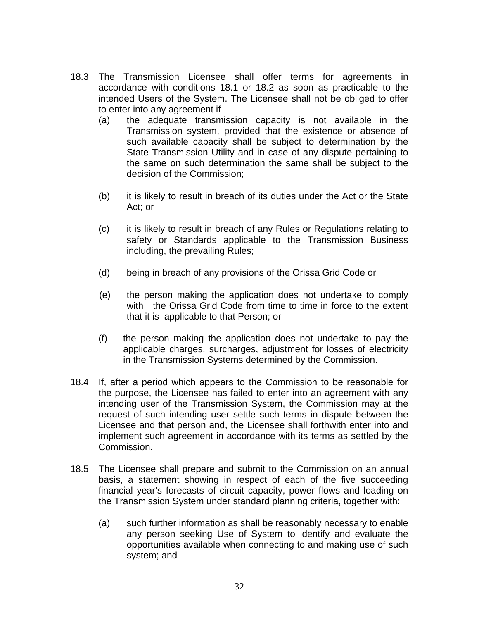- 18.3 The Transmission Licensee shall offer terms for agreements in accordance with conditions 18.1 or 18.2 as soon as practicable to the intended Users of the System. The Licensee shall not be obliged to offer to enter into any agreement if
	- (a) the adequate transmission capacity is not available in the Transmission system, provided that the existence or absence of such available capacity shall be subject to determination by the State Transmission Utility and in case of any dispute pertaining to the same on such determination the same shall be subject to the decision of the Commission;
	- (b) it is likely to result in breach of its duties under the Act or the State Act; or
	- (c) it is likely to result in breach of any Rules or Regulations relating to safety or Standards applicable to the Transmission Business including, the prevailing Rules;
	- (d) being in breach of any provisions of the Orissa Grid Code or
	- (e) the person making the application does not undertake to comply with the Orissa Grid Code from time to time in force to the extent that it is applicable to that Person; or
	- (f) the person making the application does not undertake to pay the applicable charges, surcharges, adjustment for losses of electricity in the Transmission Systems determined by the Commission.
- 18.4 If, after a period which appears to the Commission to be reasonable for the purpose, the Licensee has failed to enter into an agreement with any intending user of the Transmission System, the Commission may at the request of such intending user settle such terms in dispute between the Licensee and that person and, the Licensee shall forthwith enter into and implement such agreement in accordance with its terms as settled by the Commission.
- 18.5 The Licensee shall prepare and submit to the Commission on an annual basis, a statement showing in respect of each of the five succeeding financial year's forecasts of circuit capacity, power flows and loading on the Transmission System under standard planning criteria, together with:
	- (a) such further information as shall be reasonably necessary to enable any person seeking Use of System to identify and evaluate the opportunities available when connecting to and making use of such system; and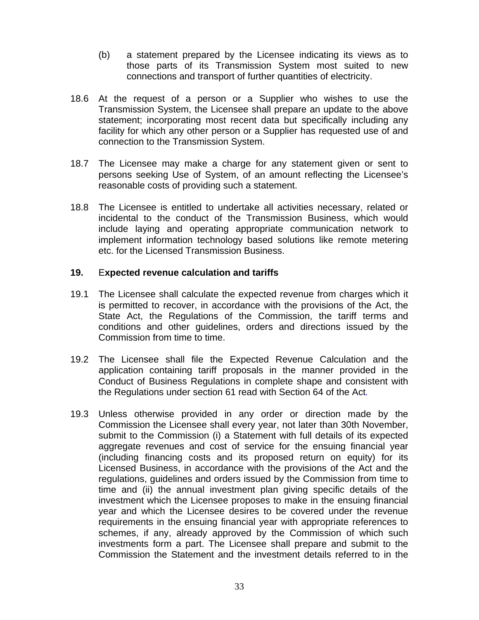- (b) a statement prepared by the Licensee indicating its views as to those parts of its Transmission System most suited to new connections and transport of further quantities of electricity.
- 18.6 At the request of a person or a Supplier who wishes to use the Transmission System, the Licensee shall prepare an update to the above statement; incorporating most recent data but specifically including any facility for which any other person or a Supplier has requested use of and connection to the Transmission System.
- 18.7 The Licensee may make a charge for any statement given or sent to persons seeking Use of System, of an amount reflecting the Licensee's reasonable costs of providing such a statement.
- 18.8 The Licensee is entitled to undertake all activities necessary, related or incidental to the conduct of the Transmission Business, which would include laying and operating appropriate communication network to implement information technology based solutions like remote metering etc. for the Licensed Transmission Business.

#### **19.** E**xpected revenue calculation and tariffs**

- 19.1 The Licensee shall calculate the expected revenue from charges which it is permitted to recover, in accordance with the provisions of the Act, the State Act, the Regulations of the Commission, the tariff terms and conditions and other guidelines, orders and directions issued by the Commission from time to time.
- 19.2 The Licensee shall file the Expected Revenue Calculation and the application containing tariff proposals in the manner provided in the Conduct of Business Regulations in complete shape and consistent with the Regulations under section 61 read with Section 64 of the Act*.*
- 19.3 Unless otherwise provided in any order or direction made by the Commission the Licensee shall every year, not later than 30th November, submit to the Commission (i) a Statement with full details of its expected aggregate revenues and cost of service for the ensuing financial year (including financing costs and its proposed return on equity) for its Licensed Business, in accordance with the provisions of the Act and the regulations, guidelines and orders issued by the Commission from time to time and (ii) the annual investment plan giving specific details of the investment which the Licensee proposes to make in the ensuing financial year and which the Licensee desires to be covered under the revenue requirements in the ensuing financial year with appropriate references to schemes, if any, already approved by the Commission of which such investments form a part. The Licensee shall prepare and submit to the Commission the Statement and the investment details referred to in the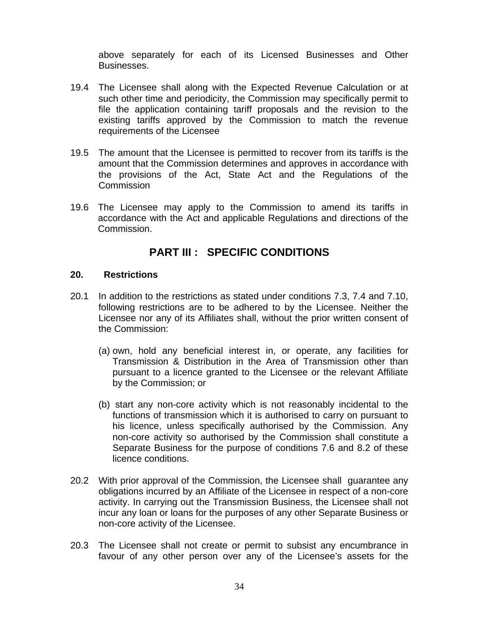above separately for each of its Licensed Businesses and Other Businesses.

- 19.4 The Licensee shall along with the Expected Revenue Calculation or at such other time and periodicity, the Commission may specifically permit to file the application containing tariff proposals and the revision to the existing tariffs approved by the Commission to match the revenue requirements of the Licensee
- 19.5 The amount that the Licensee is permitted to recover from its tariffs is the amount that the Commission determines and approves in accordance with the provisions of the Act, State Act and the Regulations of the Commission
- 19.6 The Licensee may apply to the Commission to amend its tariffs in accordance with the Act and applicable Regulations and directions of the Commission.

### **PART III : SPECIFIC CONDITIONS**

#### **20. Restrictions**

- 20.1 In addition to the restrictions as stated under conditions 7.3, 7.4 and 7.10, following restrictions are to be adhered to by the Licensee. Neither the Licensee nor any of its Affiliates shall, without the prior written consent of the Commission:
	- (a) own, hold any beneficial interest in, or operate, any facilities for Transmission & Distribution in the Area of Transmission other than pursuant to a licence granted to the Licensee or the relevant Affiliate by the Commission; or
	- (b) start any non-core activity which is not reasonably incidental to the functions of transmission which it is authorised to carry on pursuant to his licence, unless specifically authorised by the Commission. Any non-core activity so authorised by the Commission shall constitute a Separate Business for the purpose of conditions 7.6 and 8.2 of these licence conditions.
- 20.2 With prior approval of the Commission, the Licensee shall guarantee any obligations incurred by an Affiliate of the Licensee in respect of a non-core activity. In carrying out the Transmission Business, the Licensee shall not incur any loan or loans for the purposes of any other Separate Business or non-core activity of the Licensee.
- 20.3 The Licensee shall not create or permit to subsist any encumbrance in favour of any other person over any of the Licensee's assets for the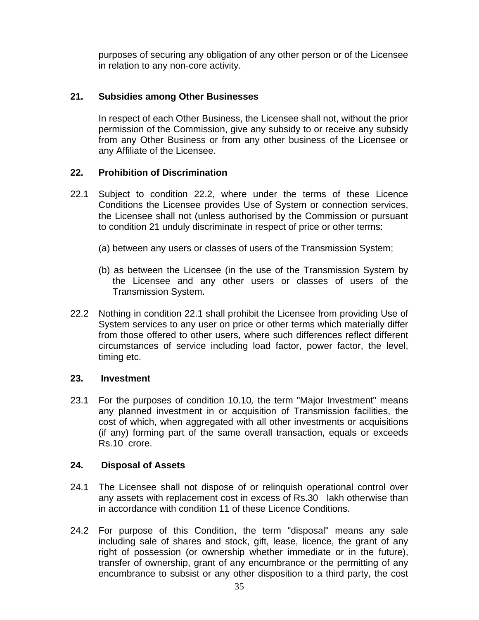purposes of securing any obligation of any other person or of the Licensee in relation to any non-core activity.

#### **21. Subsidies among Other Businesses**

In respect of each Other Business, the Licensee shall not, without the prior permission of the Commission, give any subsidy to or receive any subsidy from any Other Business or from any other business of the Licensee or any Affiliate of the Licensee.

#### **22. Prohibition of Discrimination**

- 22.1 Subject to condition 22.2, where under the terms of these Licence Conditions the Licensee provides Use of System or connection services, the Licensee shall not (unless authorised by the Commission or pursuant to condition 21 unduly discriminate in respect of price or other terms:
	- (a) between any users or classes of users of the Transmission System;
	- (b) as between the Licensee (in the use of the Transmission System by the Licensee and any other users or classes of users of the Transmission System.
- 22.2 Nothing in condition 22.1 shall prohibit the Licensee from providing Use of System services to any user on price or other terms which materially differ from those offered to other users, where such differences reflect different circumstances of service including load factor, power factor, the level, timing etc.

#### **23. Investment**

23.1 For the purposes of condition 10.10*,* the term "Major Investment" means any planned investment in or acquisition of Transmission facilities, the cost of which, when aggregated with all other investments or acquisitions (if any) forming part of the same overall transaction, equals or exceeds Rs.10 crore.

#### **24. Disposal of Assets**

- 24.1 The Licensee shall not dispose of or relinquish operational control over any assets with replacement cost in excess of Rs.30 lakh otherwise than in accordance with condition 11 of these Licence Conditions.
- 24.2 For purpose of this Condition, the term "disposal" means any sale including sale of shares and stock, gift, lease, licence, the grant of any right of possession (or ownership whether immediate or in the future), transfer of ownership, grant of any encumbrance or the permitting of any encumbrance to subsist or any other disposition to a third party, the cost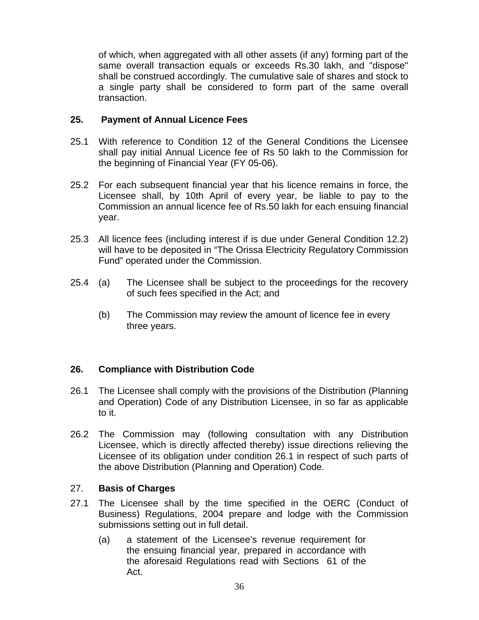of which, when aggregated with all other assets (if any) forming part of the same overall transaction equals or exceeds Rs.30 lakh, and "dispose" shall be construed accordingly. The cumulative sale of shares and stock to a single party shall be considered to form part of the same overall transaction.

#### **25. Payment of Annual Licence Fees**

- 25.1 With reference to Condition 12 of the General Conditions the Licensee shall pay initial Annual Licence fee of Rs 50 lakh to the Commission for the beginning of Financial Year (FY 05-06).
- 25.2 For each subsequent financial year that his licence remains in force, the Licensee shall, by 10th April of every year, be liable to pay to the Commission an annual licence fee of Rs.50 lakh for each ensuing financial year.
- 25.3 All licence fees (including interest if is due under General Condition 12.2) will have to be deposited in "The Orissa Electricity Regulatory Commission Fund" operated under the Commission.
- 25.4 (a) The Licensee shall be subject to the proceedings for the recovery of such fees specified in the Act; and
	- (b) The Commission may review the amount of licence fee in every three years.

#### **26. Compliance with Distribution Code**

- 26.1 The Licensee shall comply with the provisions of the Distribution (Planning and Operation) Code of any Distribution Licensee, in so far as applicable to it.
- 26.2 The Commission may (following consultation with any Distribution Licensee, which is directly affected thereby) issue directions relieving the Licensee of its obligation under condition 26.1 in respect of such parts of the above Distribution (Planning and Operation) Code.

#### 27. **Basis of Charges**

- 27.1 The Licensee shall by the time specified in the OERC (Conduct of Business) Regulations, 2004 prepare and lodge with the Commission submissions setting out in full detail.
	- (a) a statement of the Licensee's revenue requirement for the ensuing financial year, prepared in accordance with the aforesaid Regulations read with Sections 61 of the Act.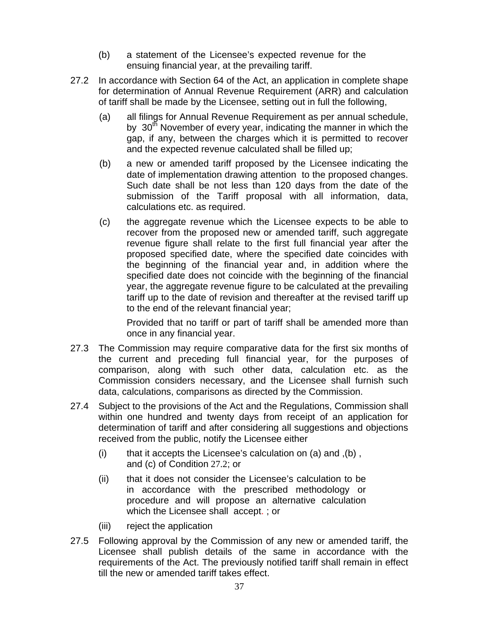- (b) a statement of the Licensee's expected revenue for the ensuing financial year, at the prevailing tariff.
- 27.2 In accordance with Section 64 of the Act, an application in complete shape for determination of Annual Revenue Requirement (ARR) and calculation of tariff shall be made by the Licensee, setting out in full the following,
	- (a)all filings for Annual Revenue Requirement as per annual schedule, by  $30<sup>th</sup>$  November of every year, indicating the manner in which the gap, if any, between the charges which it is permitted to recover and the expected revenue calculated shall be filled up;
	- (b) a new or amended tariff proposed by the Licensee indicating the date of implementation drawing attention to the proposed changes. Such date shall be not less than 120 days from the date of the submission of the Tariff proposal with all information, data, calculations etc. as required.
	- (c) the aggregate revenue which the Licensee expects to be able to recover from the proposed new or amended tariff, such aggregate revenue figure shall relate to the first full financial year after the proposed specified date, where the specified date coincides with the beginning of the financial year and, in addition where the specified date does not coincide with the beginning of the financial year, the aggregate revenue figure to be calculated at the prevailing tariff up to the date of revision and thereafter at the revised tariff up to the end of the relevant financial year;

Provided that no tariff or part of tariff shall be amended more than once in any financial year.

- 27.3 The Commission may require comparative data for the first six months of the current and preceding full financial year, for the purposes of comparison, along with such other data, calculation etc. as the Commission considers necessary, and the Licensee shall furnish such data, calculations, comparisons as directed by the Commission.
- 27.4 Subject to the provisions of the Act and the Regulations, Commission shall within one hundred and twenty days from receipt of an application for determination of tariff and after considering all suggestions and objections received from the public, notify the Licensee either
	- (i) that it accepts the Licensee's calculation on  $(a)$  and  $( b )$ , and (c) of Condition 27.2; or
	- (ii) that it does not consider the Licensee's calculation to be in accordance with the prescribed methodology or procedure and will propose an alternative calculation which the Licensee shall accept. ; or
	- (iii) reject the application
- 27.5 Following approval by the Commission of any new or amended tariff, the Licensee shall publish details of the same in accordance with the requirements of the Act. The previously notified tariff shall remain in effect till the new or amended tariff takes effect.